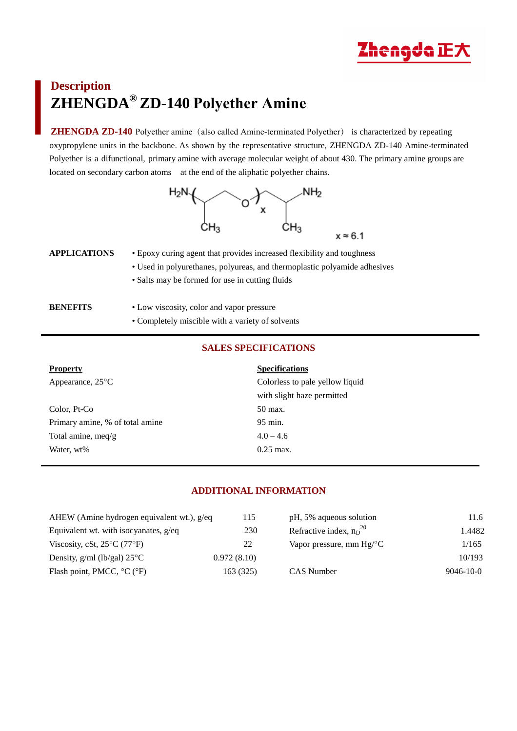

# **Description ZHENGDA® ZD-140 Polyether Amine**

**ZHENGDA ZD-140** Polyether amine (also called Amine-terminated Polyether) is characterized by repeating oxypropylene units in the backbone. As shown by the representative structure, ZHENGDA ZD-140 Amine-terminated Polyether is a difunctional, primary amine with average molecular weight of about 430. The primary amine groups are located on secondary carbon atoms at the end of the aliphatic polyether chains.



| APPLICATIONS | • Epoxy curing agent that provides increased flexibility and toughness    |  |  |
|--------------|---------------------------------------------------------------------------|--|--|
|              | • Used in polyurethanes, polyureas, and thermoplastic polyamide adhesives |  |  |
|              | • Salts may be formed for use in cutting fluids                           |  |  |
|              |                                                                           |  |  |
|              |                                                                           |  |  |

| <b>BENEFITS</b> | • Low viscosity, color and vapor pressure        |
|-----------------|--------------------------------------------------|
|                 | • Completely miscible with a variety of solvents |

## **SALES SPECIFICATIONS**

| <b>Property</b>                 | <b>Specifications</b>           |
|---------------------------------|---------------------------------|
| Appearance, $25^{\circ}$ C      | Colorless to pale yellow liquid |
|                                 | with slight haze permitted      |
| Color, Pt-Co                    | 50 max.                         |
| Primary amine, % of total amine | 95 min.                         |
| Total amine, meq/g              | $4.0 - 4.6$                     |
| Water, wt%                      | $0.25 \,\mathrm{max}$ .         |

## **ADDITIONAL INFORMATION**

| AHEW (Amine hydrogen equivalent wt.), g/eq       | 115         | pH, 5% aqueous solution          | 11.6            |
|--------------------------------------------------|-------------|----------------------------------|-----------------|
| Equivalent wt. with isocyanates, $g$ /eq         | 230         | Refractive index, $n_D^{20}$     | 1.4482          |
| Viscosity, cSt, $25^{\circ}$ C (77 $^{\circ}$ F) | 22          | Vapor pressure, mm $Hg^{\circ}C$ | 1/165           |
| Density, $g/ml$ (lb/gal) $25^{\circ}$ C          | 0.972(8.10) |                                  | 10/193          |
| Flash point, PMCC, $^{\circ}$ C ( $^{\circ}$ F)  | 163(325)    | CAS Number                       | $9046 - 10 - 0$ |